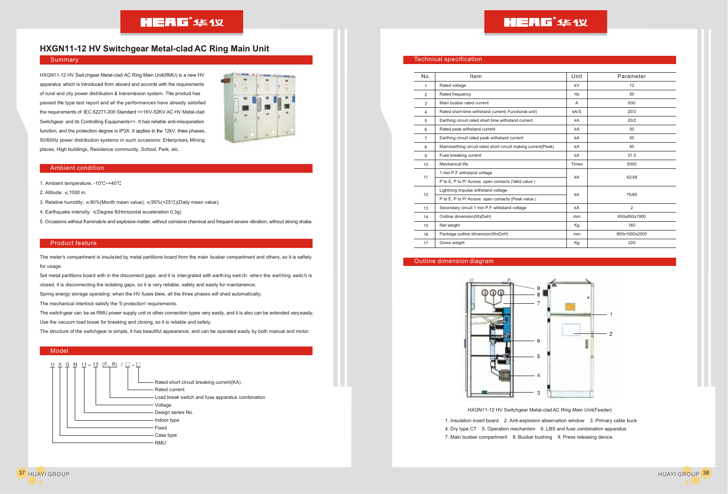# **HXGN11-12 HV Switchgear Metal-clad AC Ring Main Unit**

#### Summary

HXGN11-12 HV Switchgear Metal-clad AC Ring Main Unit(RMU) is a new HV apparatus which is introduced from aboard and accords with the requirements of rural and city power distribution & transmission system. This product has passed the type test report and all the performances have already satisfied the requirements of IEC 62271-200 Standard <<1KV-52KV AC HV Metal-clad Switchgear and its Controlling Equipments>>. It has reliable anti-misoperation function, and the protection degree is IP3X. It applies to the 12kV, three phases, 50/60Hz power distribution systems in such occasions: Enterprises, Mining places, High buildings, Residence community, School, Park, etc.



#### Ambient condition

- 1. Ambient temperature: -10°C~+40°C
- 2. Altitude:  $\leq 1000$  m:
- 3. Relative humidity:  $\leq 90\%$ (Month mean value);  $\leq 95\%$ (+25°C)(Daily mean value);
- 4. Earthquake intensity:  $\leq$ Degree 8(Horizontal acceleration 0.3g)
- 5. Occasions without flammable and explosive matter, without corrosive chemical and frequent severe vibration, without strong shake.

#### Product feature

The meter's compartment is insulated by metal partitions board from the main busbar compartment and others, so it is saftely for usage.

Set metal partitions board with in the disconnect gaps, and it is intergrated with earthing switch: when the earthing switch is closed, it is disconnecting the isolating gaps, so it is very reliable, safety and easily for maintanence;

Spring energy storage operating: when the HV fuses blew, all the three phases will shed automatically;

The mechanical interlock satisfy the '5 protection' requirements.

The switchgear can be as RMU power supply unit or other connection types very easily, and it is also can be extended very easily; Use the vacuum load break for breaking and closing, so it is reliable and safety.

The structure of the switchgear is simple, it has beautiful appearance, and can be operated easily by both manual and motor.

#### Model